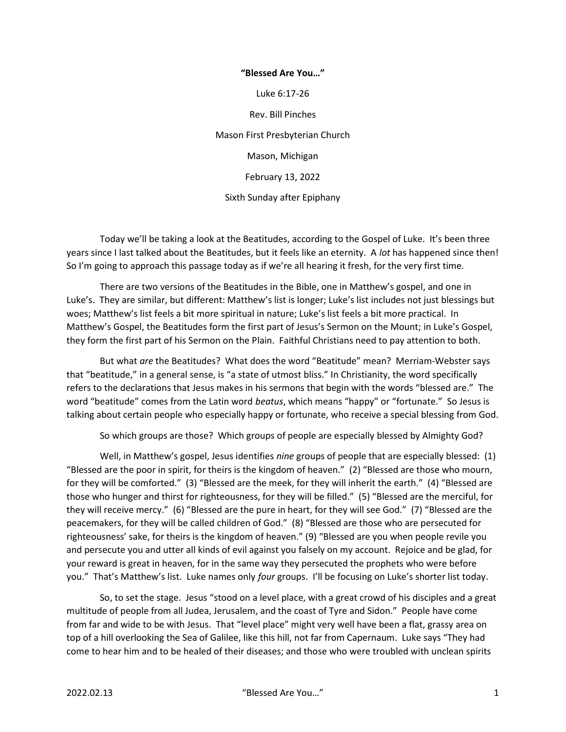## "Blessed Are You…"

Luke 6:17-26

Rev. Bill Pinches

Mason First Presbyterian Church

Mason, Michigan

February 13, 2022

Sixth Sunday after Epiphany

 Today we'll be taking a look at the Beatitudes, according to the Gospel of Luke. It's been three years since I last talked about the Beatitudes, but it feels like an eternity. A lot has happened since then! So I'm going to approach this passage today as if we're all hearing it fresh, for the very first time.

 There are two versions of the Beatitudes in the Bible, one in Matthew's gospel, and one in Luke's. They are similar, but different: Matthew's list is longer; Luke's list includes not just blessings but woes; Matthew's list feels a bit more spiritual in nature; Luke's list feels a bit more practical. In Matthew's Gospel, the Beatitudes form the first part of Jesus's Sermon on the Mount; in Luke's Gospel, they form the first part of his Sermon on the Plain. Faithful Christians need to pay attention to both.

 But what are the Beatitudes? What does the word "Beatitude" mean? Merriam-Webster says that "beatitude," in a general sense, is "a state of utmost bliss." In Christianity, the word specifically refers to the declarations that Jesus makes in his sermons that begin with the words "blessed are." The word "beatitude" comes from the Latin word beatus, which means "happy" or "fortunate." So Jesus is talking about certain people who especially happy or fortunate, who receive a special blessing from God.

So which groups are those? Which groups of people are especially blessed by Almighty God?

Well, in Matthew's gospel, Jesus identifies nine groups of people that are especially blessed: (1) "Blessed are the poor in spirit, for theirs is the kingdom of heaven." (2) "Blessed are those who mourn, for they will be comforted." (3) "Blessed are the meek, for they will inherit the earth." (4) "Blessed are those who hunger and thirst for righteousness, for they will be filled." (5) "Blessed are the merciful, for they will receive mercy." (6) "Blessed are the pure in heart, for they will see God." (7) "Blessed are the peacemakers, for they will be called children of God." (8) "Blessed are those who are persecuted for righteousness' sake, for theirs is the kingdom of heaven." (9) "Blessed are you when people revile you and persecute you and utter all kinds of evil against you falsely on my account. Rejoice and be glad, for your reward is great in heaven, for in the same way they persecuted the prophets who were before you." That's Matthew's list. Luke names only four groups. I'll be focusing on Luke's shorter list today.

 So, to set the stage. Jesus "stood on a level place, with a great crowd of his disciples and a great multitude of people from all Judea, Jerusalem, and the coast of Tyre and Sidon." People have come from far and wide to be with Jesus. That "level place" might very well have been a flat, grassy area on top of a hill overlooking the Sea of Galilee, like this hill, not far from Capernaum. Luke says "They had come to hear him and to be healed of their diseases; and those who were troubled with unclean spirits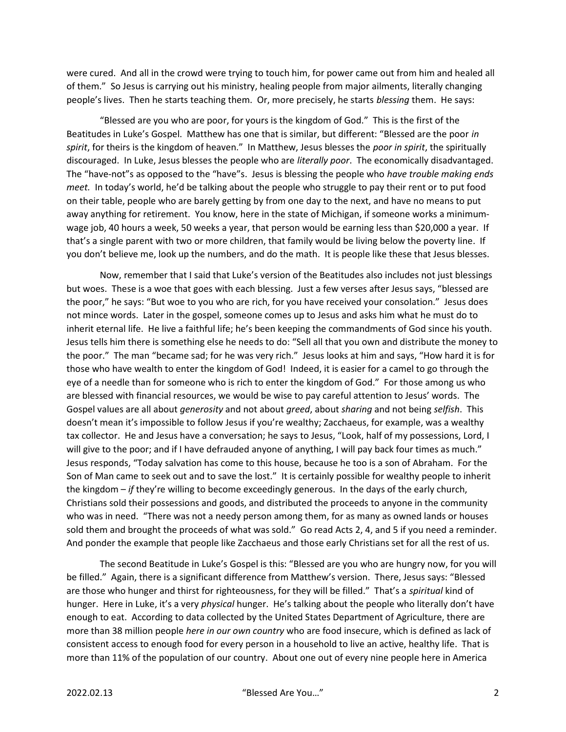were cured. And all in the crowd were trying to touch him, for power came out from him and healed all of them." So Jesus is carrying out his ministry, healing people from major ailments, literally changing people's lives. Then he starts teaching them. Or, more precisely, he starts blessing them. He says:

 "Blessed are you who are poor, for yours is the kingdom of God." This is the first of the Beatitudes in Luke's Gospel. Matthew has one that is similar, but different: "Blessed are the poor in spirit, for theirs is the kingdom of heaven." In Matthew, Jesus blesses the poor in spirit, the spiritually discouraged. In Luke, Jesus blesses the people who are *literally poor*. The economically disadvantaged. The "have-not"s as opposed to the "have"s. Jesus is blessing the people who have trouble making ends meet. In today's world, he'd be talking about the people who struggle to pay their rent or to put food on their table, people who are barely getting by from one day to the next, and have no means to put away anything for retirement. You know, here in the state of Michigan, if someone works a minimumwage job, 40 hours a week, 50 weeks a year, that person would be earning less than \$20,000 a year. If that's a single parent with two or more children, that family would be living below the poverty line. If you don't believe me, look up the numbers, and do the math. It is people like these that Jesus blesses.

 Now, remember that I said that Luke's version of the Beatitudes also includes not just blessings but woes. These is a woe that goes with each blessing. Just a few verses after Jesus says, "blessed are the poor," he says: "But woe to you who are rich, for you have received your consolation." Jesus does not mince words. Later in the gospel, someone comes up to Jesus and asks him what he must do to inherit eternal life. He live a faithful life; he's been keeping the commandments of God since his youth. Jesus tells him there is something else he needs to do: "Sell all that you own and distribute the money to the poor." The man "became sad; for he was very rich." Jesus looks at him and says, "How hard it is for those who have wealth to enter the kingdom of God! Indeed, it is easier for a camel to go through the eye of a needle than for someone who is rich to enter the kingdom of God." For those among us who are blessed with financial resources, we would be wise to pay careful attention to Jesus' words. The Gospel values are all about *generosity* and not about *greed*, about *sharing* and not being *selfish*. This doesn't mean it's impossible to follow Jesus if you're wealthy; Zacchaeus, for example, was a wealthy tax collector. He and Jesus have a conversation; he says to Jesus, "Look, half of my possessions, Lord, I will give to the poor; and if I have defrauded anyone of anything, I will pay back four times as much." Jesus responds, "Today salvation has come to this house, because he too is a son of Abraham. For the Son of Man came to seek out and to save the lost." It is certainly possible for wealthy people to inherit the kingdom – if they're willing to become exceedingly generous. In the days of the early church, Christians sold their possessions and goods, and distributed the proceeds to anyone in the community who was in need. "There was not a needy person among them, for as many as owned lands or houses sold them and brought the proceeds of what was sold." Go read Acts 2, 4, and 5 if you need a reminder. And ponder the example that people like Zacchaeus and those early Christians set for all the rest of us.

 The second Beatitude in Luke's Gospel is this: "Blessed are you who are hungry now, for you will be filled." Again, there is a significant difference from Matthew's version. There, Jesus says: "Blessed are those who hunger and thirst for righteousness, for they will be filled." That's a spiritual kind of hunger. Here in Luke, it's a very physical hunger. He's talking about the people who literally don't have enough to eat. According to data collected by the United States Department of Agriculture, there are more than 38 million people here in our own country who are food insecure, which is defined as lack of consistent access to enough food for every person in a household to live an active, healthy life. That is more than 11% of the population of our country. About one out of every nine people here in America